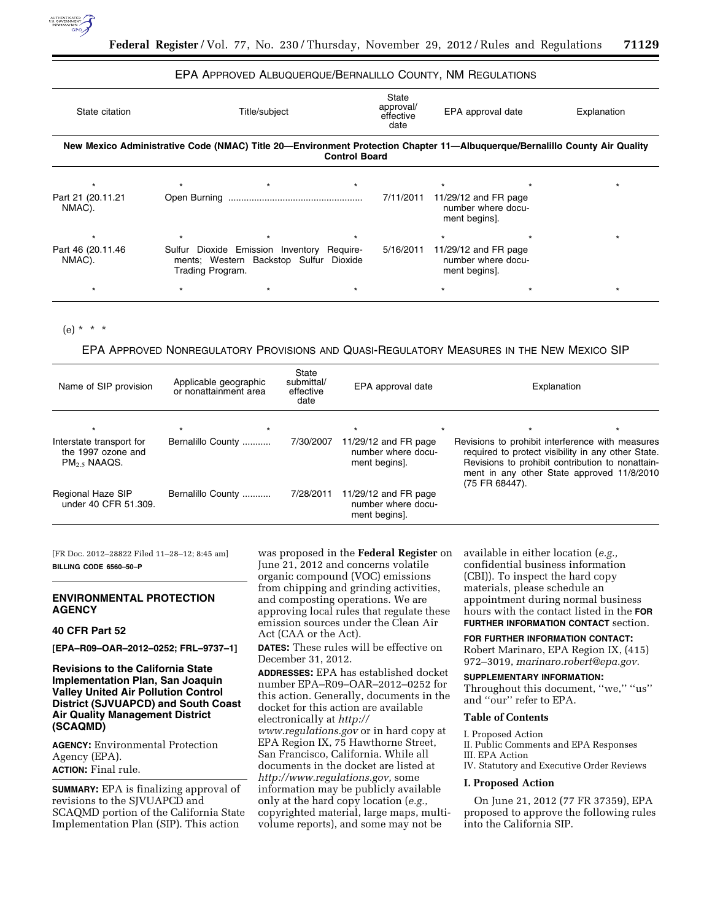

## EPA APPROVED ALBUQUERQUE/BERNALILLO COUNTY, NM REGULATIONS

| State citation                                                                                                                                     | Title/subject    |                                                                                      |  | State<br>approval/<br>effective<br>date | EPA approval date                                             |  | Explanation |  |  |  |  |
|----------------------------------------------------------------------------------------------------------------------------------------------------|------------------|--------------------------------------------------------------------------------------|--|-----------------------------------------|---------------------------------------------------------------|--|-------------|--|--|--|--|
| New Mexico Administrative Code (NMAC) Title 20—Environment Protection Chapter 11—Albuquerque/Bernalillo County Air Quality<br><b>Control Board</b> |                  |                                                                                      |  |                                         |                                                               |  |             |  |  |  |  |
|                                                                                                                                                    |                  | $\star$                                                                              |  |                                         |                                                               |  |             |  |  |  |  |
| Part 21 (20.11.21)<br>NMAC).                                                                                                                       |                  |                                                                                      |  | 7/11/2011                               | 11/29/12 and FR page<br>number where docu-<br>ment begins].   |  |             |  |  |  |  |
|                                                                                                                                                    | $\star$          |                                                                                      |  |                                         |                                                               |  | $\star$     |  |  |  |  |
| Part 46 (20.11.46)<br>NMAC).                                                                                                                       | Trading Program. | Sulfur Dioxide Emission Inventory Require-<br>ments; Western Backstop Sulfur Dioxide |  | 5/16/2011                               | 11/29/12 and $FR$ page<br>number where docu-<br>ment begins]. |  |             |  |  |  |  |
|                                                                                                                                                    |                  |                                                                                      |  |                                         |                                                               |  | $\star$     |  |  |  |  |

(e) \* \* \*

# EPA APPROVED NONREGULATORY PROVISIONS AND QUASI-REGULATORY MEASURES IN THE NEW MEXICO SIP

| Name of SIP provision                                                     | Applicable geographic<br>or nonattainment area | State<br>submittal/<br>effective<br>date | EPA approval date                                           | Explanation                                                                                                                                                                                                                |  |  |
|---------------------------------------------------------------------------|------------------------------------------------|------------------------------------------|-------------------------------------------------------------|----------------------------------------------------------------------------------------------------------------------------------------------------------------------------------------------------------------------------|--|--|
|                                                                           | $\star$                                        |                                          | $\star$                                                     | $\star$<br>$\star$                                                                                                                                                                                                         |  |  |
| Interstate transport for<br>the 1997 ozone and<br>PM <sub>25</sub> NAAQS. | Bernalillo County                              | 7/30/2007                                | 11/29/12 and FR page<br>number where docu-<br>ment begins]. | Revisions to prohibit interference with measures<br>required to protect visibility in any other State.<br>Revisions to prohibit contribution to nonattain-<br>ment in any other State approved 11/8/2010<br>(75 FR 68447). |  |  |
| Regional Haze SIP<br>under 40 CFR 51.309.                                 | Bernalillo County                              | 7/28/2011                                | 11/29/12 and FR page<br>number where docu-<br>ment begins]. |                                                                                                                                                                                                                            |  |  |

[FR Doc. 2012–28822 Filed 11–28–12; 8:45 am] **BILLING CODE 6560–50–P** 

## **ENVIRONMENTAL PROTECTION AGENCY**

### **40 CFR Part 52**

**[EPA–R09–OAR–2012–0252; FRL–9737–1]** 

## **Revisions to the California State Implementation Plan, San Joaquin Valley United Air Pollution Control District (SJVUAPCD) and South Coast Air Quality Management District (SCAQMD)**

**AGENCY:** Environmental Protection Agency (EPA). **ACTION:** Final rule.

**SUMMARY:** EPA is finalizing approval of revisions to the SJVUAPCD and SCAQMD portion of the California State Implementation Plan (SIP). This action

was proposed in the **Federal Register** on June 21, 2012 and concerns volatile organic compound (VOC) emissions from chipping and grinding activities, and composting operations. We are approving local rules that regulate these emission sources under the Clean Air Act (CAA or the Act).

**DATES:** These rules will be effective on December 31, 2012.

**ADDRESSES:** EPA has established docket number EPA–R09–OAR–2012–0252 for this action. Generally, documents in the docket for this action are available electronically at *[http://](http://www.regulations.gov) [www.regulations.gov](http://www.regulations.gov)* or in hard copy at EPA Region IX, 75 Hawthorne Street, San Francisco, California. While all documents in the docket are listed at *[http://www.regulations.gov,](http://www.regulations.gov)* some information may be publicly available only at the hard copy location (*e.g.,*  copyrighted material, large maps, multivolume reports), and some may not be

available in either location (*e.g.,*  confidential business information (CBI)). To inspect the hard copy materials, please schedule an appointment during normal business hours with the contact listed in the **FOR FURTHER INFORMATION CONTACT** section.

**FOR FURTHER INFORMATION CONTACT:**  Robert Marinaro, EPA Region IX, (415) 972–3019, *[marinaro.robert@epa.gov.](mailto:marinaro.robert@epa.gov)* 

#### **SUPPLEMENTARY INFORMATION:**

Throughout this document, "we," "us" and ''our'' refer to EPA.

## **Table of Contents**

I. Proposed Action II. Public Comments and EPA Responses III. EPA Action

IV. Statutory and Executive Order Reviews

## **I. Proposed Action**

On June 21, 2012 (77 FR 37359), EPA proposed to approve the following rules into the California SIP.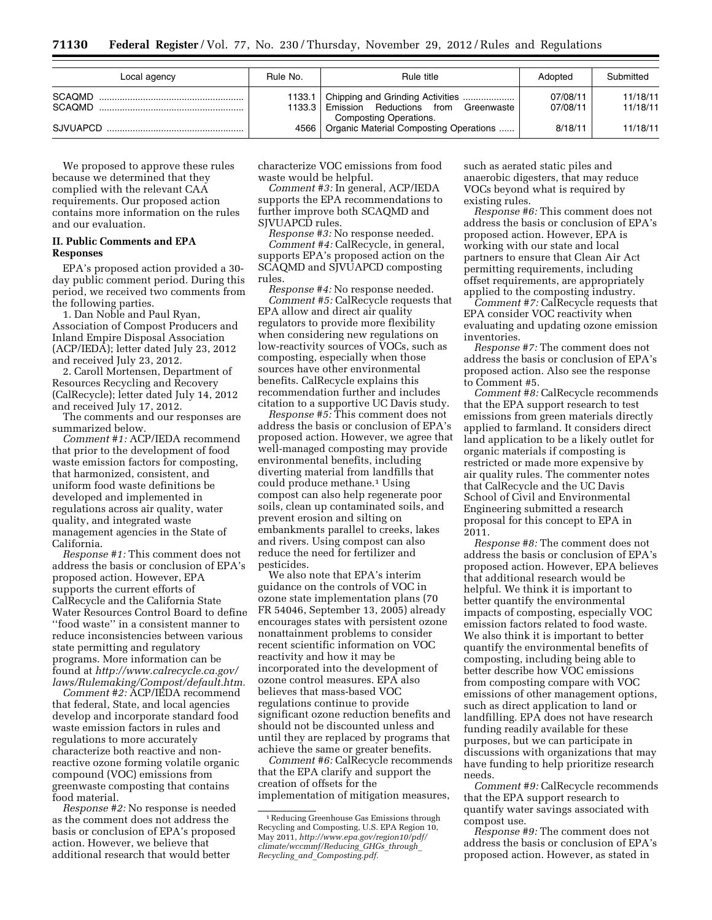| Local agency | Rule No. | Rule title                                                                  | Adopted              | Submitted            |
|--------------|----------|-----------------------------------------------------------------------------|----------------------|----------------------|
| SCAOMD       |          | 1133.3 Emission Reductions from Greenwaste<br><b>Composting Operations.</b> | 07/08/11<br>07/08/11 | 11/18/11<br>11/18/11 |
|              |          | 4566   Organic Material Composting Operations                               | 8/18/11              | 11/18/11             |

We proposed to approve these rules because we determined that they complied with the relevant CAA requirements. Our proposed action contains more information on the rules and our evaluation.

### **II. Public Comments and EPA Responses**

EPA's proposed action provided a 30 day public comment period. During this period, we received two comments from the following parties.

1. Dan Noble and Paul Ryan, Association of Compost Producers and Inland Empire Disposal Association (ACP/IEDA); letter dated July 23, 2012 and received July 23, 2012.

2. Caroll Mortensen, Department of Resources Recycling and Recovery (CalRecycle); letter dated July 14, 2012 and received July 17, 2012.

The comments and our responses are summarized below.

*Comment #1:* ACP/IEDA recommend that prior to the development of food waste emission factors for composting, that harmonized, consistent, and uniform food waste definitions be developed and implemented in regulations across air quality, water quality, and integrated waste management agencies in the State of California.

*Response #1:* This comment does not address the basis or conclusion of EPA's proposed action. However, EPA supports the current efforts of CalRecycle and the California State Water Resources Control Board to define ''food waste'' in a consistent manner to reduce inconsistencies between various state permitting and regulatory programs. More information can be found at *[http://www.calrecycle.ca.gov/](http://www.calrecycle.ca.gov/laws/Rulemaking/Compost/default.htm)  [laws/Rulemaking/Compost/default.htm.](http://www.calrecycle.ca.gov/laws/Rulemaking/Compost/default.htm)* 

*Comment #2:* ACP/IEDA recommend that federal, State, and local agencies develop and incorporate standard food waste emission factors in rules and regulations to more accurately characterize both reactive and nonreactive ozone forming volatile organic compound (VOC) emissions from greenwaste composting that contains food material.

*Response #2:* No response is needed as the comment does not address the basis or conclusion of EPA's proposed action. However, we believe that additional research that would better

characterize VOC emissions from food waste would be helpful.

*Comment #3:* In general, ACP/IEDA supports the EPA recommendations to further improve both SCAQMD and SJVUAPCD rules.

*Response #3:* No response needed.

*Comment #4:* CalRecycle, in general, supports EPA's proposed action on the SCAQMD and SJVUAPCD composting rules.

*Response #4:* No response needed. *Comment #5:* CalRecycle requests that EPA allow and direct air quality regulators to provide more flexibility when considering new regulations on low-reactivity sources of VOCs, such as composting, especially when those sources have other environmental benefits. CalRecycle explains this recommendation further and includes citation to a supportive UC Davis study.

*Response #5:* This comment does not address the basis or conclusion of EPA's proposed action. However, we agree that well-managed composting may provide environmental benefits, including diverting material from landfills that could produce methane.1 Using compost can also help regenerate poor soils, clean up contaminated soils, and prevent erosion and silting on embankments parallel to creeks, lakes and rivers. Using compost can also reduce the need for fertilizer and pesticides.

We also note that EPA's interim guidance on the controls of VOC in ozone state implementation plans (70 FR 54046, September 13, 2005) already encourages states with persistent ozone nonattainment problems to consider recent scientific information on VOC reactivity and how it may be incorporated into the development of ozone control measures. EPA also believes that mass-based VOC regulations continue to provide significant ozone reduction benefits and should not be discounted unless and until they are replaced by programs that achieve the same or greater benefits.

*Comment #6:* CalRecycle recommends that the EPA clarify and support the creation of offsets for the implementation of mitigation measures,

such as aerated static piles and anaerobic digesters, that may reduce VOCs beyond what is required by existing rules.

*Response #6:* This comment does not address the basis or conclusion of EPA's proposed action. However, EPA is working with our state and local partners to ensure that Clean Air Act permitting requirements, including offset requirements, are appropriately applied to the composting industry.

*Comment #7:* CalRecycle requests that EPA consider VOC reactivity when evaluating and updating ozone emission inventories.

*Response #7:* The comment does not address the basis or conclusion of EPA's proposed action. Also see the response to Comment #5.

*Comment #8:* CalRecycle recommends that the EPA support research to test emissions from green materials directly applied to farmland. It considers direct land application to be a likely outlet for organic materials if composting is restricted or made more expensive by air quality rules. The commenter notes that CalRecycle and the UC Davis School of Civil and Environmental Engineering submitted a research proposal for this concept to EPA in 2011.

*Response #8:* The comment does not address the basis or conclusion of EPA's proposed action. However, EPA believes that additional research would be helpful. We think it is important to better quantify the environmental impacts of composting, especially VOC emission factors related to food waste. We also think it is important to better quantify the environmental benefits of composting, including being able to better describe how VOC emissions from composting compare with VOC emissions of other management options, such as direct application to land or landfilling. EPA does not have research funding readily available for these purposes, but we can participate in discussions with organizations that may have funding to help prioritize research needs.

*Comment #9:* CalRecycle recommends that the EPA support research to quantify water savings associated with compost use.

*Response #9:* The comment does not address the basis or conclusion of EPA's proposed action. However, as stated in

<sup>1</sup>Reducing Greenhouse Gas Emissions through Recycling and Composting, U.S. EPA Region 10, May 2011, *[http://www.epa.gov/region10/pdf/](http://www.epa.gov/region10/pdf/climate/wccmmf/Reducing_GHGs_through_Recycling_and_Composting.pdf) [climate/wccmmf/Reducing](http://www.epa.gov/region10/pdf/climate/wccmmf/Reducing_GHGs_through_Recycling_and_Composting.pdf)*\_*GHGs*\_*through*\_ *Recycling*\_*and*\_*[Composting.pdf.](http://www.epa.gov/region10/pdf/climate/wccmmf/Reducing_GHGs_through_Recycling_and_Composting.pdf)*